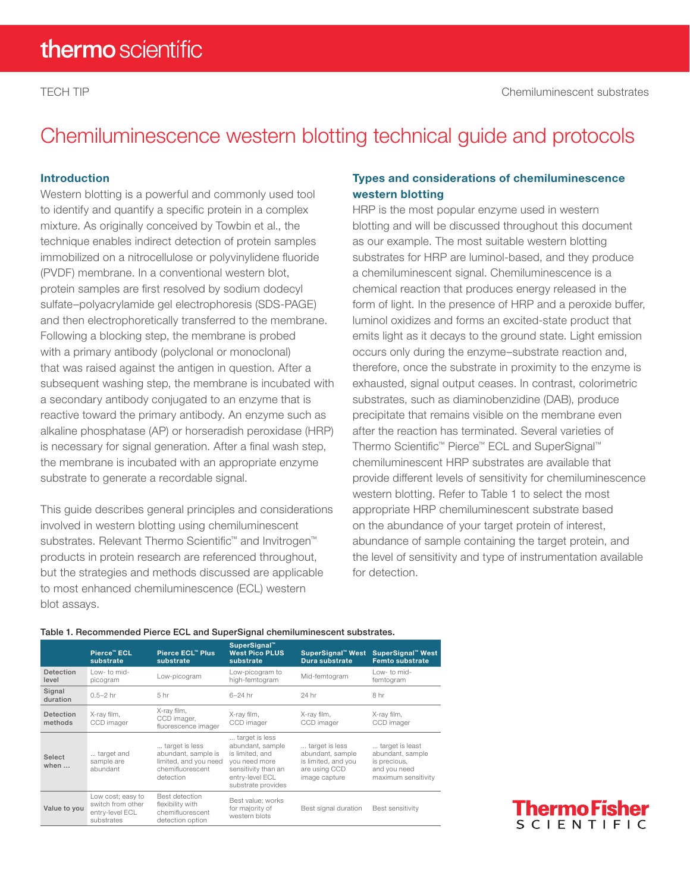# Chemiluminescence western blotting technical guide and protocols

#### Introduction

Western blotting is a powerful and commonly used tool to identify and quantify a specific protein in a complex mixture. As originally conceived by Towbin et al., the technique enables indirect detection of protein samples immobilized on a nitrocellulose or polyvinylidene fluoride (PVDF) membrane. In a conventional western blot, protein samples are first resolved by sodium dodecyl sulfate–polyacrylamide gel electrophoresis (SDS-PAGE) and then electrophoretically transferred to the membrane. Following a blocking step, the membrane is probed with a primary antibody (polyclonal or monoclonal) that was raised against the antigen in question. After a subsequent washing step, the membrane is incubated with a secondary antibody conjugated to an enzyme that is reactive toward the primary antibody. An enzyme such as alkaline phosphatase (AP) or horseradish peroxidase (HRP) is necessary for signal generation. After a final wash step, the membrane is incubated with an appropriate enzyme substrate to generate a recordable signal.

This guide describes general principles and considerations involved in western blotting using chemiluminescent substrates. Relevant Thermo Scientific<sup>™</sup> and Invitrogen<sup>™</sup> products in protein research are referenced throughout, but the strategies and methods discussed are applicable to most enhanced chemiluminescence (ECL) western blot assays.

#### Types and considerations of chemiluminescence western blotting

HRP is the most popular enzyme used in western blotting and will be discussed throughout this document as our example. The most suitable western blotting substrates for HRP are luminol-based, and they produce a chemiluminescent signal. Chemiluminescence is a chemical reaction that produces energy released in the form of light. In the presence of HRP and a peroxide buffer, luminol oxidizes and forms an excited-state product that emits light as it decays to the ground state. Light emission occurs only during the enzyme–substrate reaction and, therefore, once the substrate in proximity to the enzyme is exhausted, signal output ceases. In contrast, colorimetric substrates, such as diaminobenzidine (DAB), produce precipitate that remains visible on the membrane even after the reaction has terminated. Several varieties of Thermo Scientific™ Pierce™ ECL and SuperSignal™ chemiluminescent HRP substrates are available that provide different levels of sensitivity for chemiluminescence western blotting. Refer to Table 1 to select the most appropriate HRP chemiluminescent substrate based on the abundance of your target protein of interest, abundance of sample containing the target protein, and the level of sensitivity and type of instrumentation available for detection.

#### Table 1. Recommended Pierce ECL and SuperSignal chemiluminescent substrates.

|                      | Pierce™ ECL<br>substrate                                                | Pierce ECL™ Plus<br>substrate                                                                   | SuperSignal"<br><b>West Pico PLUS</b><br>substrate                                                                                     | SuperSignal™ West<br>Dura substrate                                                         | SuperSignal™ West<br><b>Femto substrate</b>                                                |
|----------------------|-------------------------------------------------------------------------|-------------------------------------------------------------------------------------------------|----------------------------------------------------------------------------------------------------------------------------------------|---------------------------------------------------------------------------------------------|--------------------------------------------------------------------------------------------|
| Detection<br>level   | ow-to mid-<br>picogram                                                  | Low-picogram                                                                                    | Low-picogram to<br>high-femtogram                                                                                                      | Mid-femtogram                                                                               | I ow- to mid-<br>femtogram                                                                 |
| Signal<br>duration   | $0.5 - 2$ hr                                                            | 5 hr                                                                                            | $6-24$ hr                                                                                                                              | 24 hr                                                                                       | 8 hr                                                                                       |
| Detection<br>methods | X-ray film,<br>CCD imager                                               | X-ray film,<br>CCD imager,<br>fluorescence imager                                               | X-ray film,<br>CCD imager                                                                                                              | X-ray film,<br>CCD imager                                                                   | X-ray film,<br>CCD imager                                                                  |
| Select<br>when       | target and<br>sample are<br>abundant                                    | target is less<br>abundant, sample is<br>limited, and you need<br>chemifluorescent<br>detection | target is less<br>abundant, sample<br>is limited, and<br>vou need more<br>sensitivity than an<br>entry-level ECL<br>substrate provides | target is less<br>abundant, sample<br>is limited, and you<br>are using CCD<br>image capture | target is least<br>abundant, sample<br>is precious,<br>and you need<br>maximum sensitivity |
| Value to you         | Low cost; easy to<br>switch from other<br>entry-level ECL<br>substrates | <b>Best detection</b><br>flexibility with<br>chemifluorescent<br>detection option               | Best value: works<br>for majority of<br>western blots                                                                                  | Best signal duration                                                                        | Best sensitivity                                                                           |

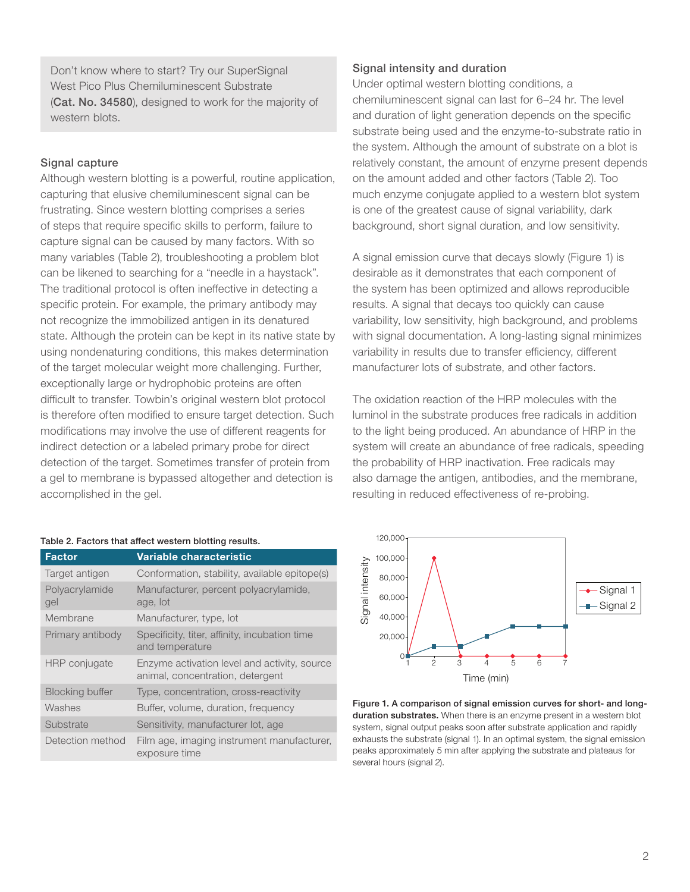Don't know where to start? Try our SuperSignal West Pico Plus Chemiluminescent Substrate ([Cat. No. 34580](https://www.thermofisher.com/order/catalog/product/34580)), designed to work for the majority of western blots.

#### Signal capture

Although western blotting is a powerful, routine application, capturing that elusive chemiluminescent signal can be frustrating. Since western blotting comprises a series of steps that require specific skills to perform, failure to capture signal can be caused by many factors. With so many variables (Table 2), troubleshooting a problem blot can be likened to searching for a "needle in a haystack". The traditional protocol is often ineffective in detecting a specific protein. For example, the primary antibody may not recognize the immobilized antigen in its denatured state. Although the protein can be kept in its native state by using nondenaturing conditions, this makes determination of the target molecular weight more challenging. Further, exceptionally large or hydrophobic proteins are often difficult to transfer. Towbin's original western blot protocol is therefore often modified to ensure target detection. Such modifications may involve the use of different reagents for indirect detection or a labeled primary probe for direct detection of the target. Sometimes transfer of protein from a gel to membrane is bypassed altogether and detection is accomplished in the gel.

#### Table 2. Factors that affect western blotting results.

| Factor                 | Variable characteristic                                                          |
|------------------------|----------------------------------------------------------------------------------|
| Target antigen         | Conformation, stability, available epitope(s)                                    |
| Polyacrylamide<br>gel  | Manufacturer, percent polyacrylamide,<br>age, lot                                |
| Membrane               | Manufacturer, type, lot                                                          |
| Primary antibody       | Specificity, titer, affinity, incubation time<br>and temperature                 |
| HRP conjugate          | Enzyme activation level and activity, source<br>animal, concentration, detergent |
| <b>Blocking buffer</b> | Type, concentration, cross-reactivity                                            |
| Washes                 | Buffer, volume, duration, frequency                                              |
| Substrate              | Sensitivity, manufacturer lot, age                                               |
| Detection method       | Film age, imaging instrument manufacturer,<br>exposure time                      |

#### Signal intensity and duration

Under optimal western blotting conditions, a chemiluminescent signal can last for 6–24 hr. The level and duration of light generation depends on the specific substrate being used and the enzyme-to-substrate ratio in the system. Although the amount of substrate on a blot is relatively constant, the amount of enzyme present depends on the amount added and other factors (Table 2). Too much enzyme conjugate applied to a western blot system is one of the greatest cause of signal variability, dark background, short signal duration, and low sensitivity.

A signal emission curve that decays slowly (Figure 1) is desirable as it demonstrates that each component of the system has been optimized and allows reproducible results. A signal that decays too quickly can cause variability, low sensitivity, high background, and problems with signal documentation. A long-lasting signal minimizes variability in results due to transfer efficiency, different manufacturer lots of substrate, and other factors.

The oxidation reaction of the HRP molecules with the luminol in the substrate produces free radicals in addition to the light being produced. An abundance of HRP in the system will create an abundance of free radicals, speeding the probability of HRP inactivation. Free radicals may also damage the antigen, antibodies, and the membrane, resulting in reduced effectiveness of re-probing.



Figure 1. A comparison of signal emission curves for short- and longduration substrates. When there is an enzyme present in a western blot system, signal output peaks soon after substrate application and rapidly exhausts the substrate (signal 1). In an optimal system, the signal emission peaks approximately 5 min after applying the substrate and plateaus for several hours (signal 2).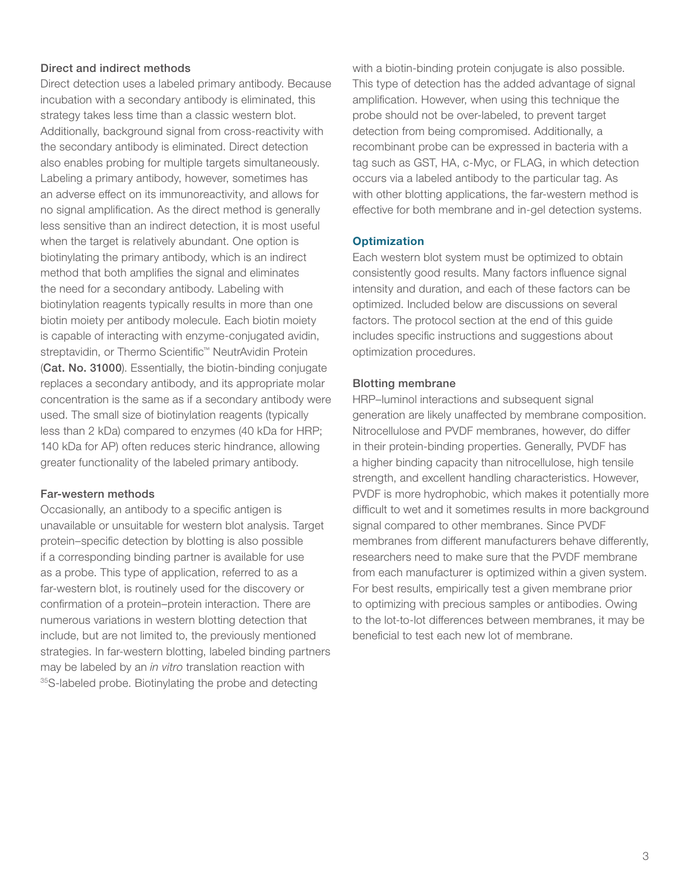#### Direct and indirect methods

Direct detection uses a labeled primary antibody. Because incubation with a secondary antibody is eliminated, this strategy takes less time than a classic western blot. Additionally, background signal from cross-reactivity with the secondary antibody is eliminated. Direct detection also enables probing for multiple targets simultaneously. Labeling a primary antibody, however, sometimes has an adverse effect on its immunoreactivity, and allows for no signal amplification. As the direct method is generally less sensitive than an indirect detection, it is most useful when the target is relatively abundant. One option is biotinylating the primary antibody, which is an indirect method that both amplifies the signal and eliminates the need for a secondary antibody. Labeling with biotinylation reagents typically results in more than one biotin moiety per antibody molecule. Each biotin moiety is capable of interacting with enzyme-conjugated avidin, streptavidin, or Thermo Scientific™ NeutrAvidin Protein ([Cat. No. 31000](https://www.thermofisher.com/order/catalog/product/31000)). Essentially, the biotin-binding conjugate replaces a secondary antibody, and its appropriate molar concentration is the same as if a secondary antibody were used. The small size of biotinylation reagents (typically less than 2 kDa) compared to enzymes (40 kDa for HRP; 140 kDa for AP) often reduces steric hindrance, allowing greater functionality of the labeled primary antibody.

#### Far-western methods

Occasionally, an antibody to a specific antigen is unavailable or unsuitable for western blot analysis. Target protein–specific detection by blotting is also possible if a corresponding binding partner is available for use as a probe. This type of application, referred to as a far-western blot, is routinely used for the discovery or confirmation of a protein–protein interaction. There are numerous variations in western blotting detection that include, but are not limited to, the previously mentioned strategies. In far-western blotting, labeled binding partners may be labeled by an *in vitro* translation reaction with 35S-labeled probe. Biotinylating the probe and detecting

with a biotin-binding protein conjugate is also possible. This type of detection has the added advantage of signal amplification. However, when using this technique the probe should not be over-labeled, to prevent target detection from being compromised. Additionally, a recombinant probe can be expressed in bacteria with a tag such as GST, HA, c-Myc, or FLAG, in which detection occurs via a labeled antibody to the particular tag. As with other blotting applications, the far-western method is effective for both membrane and in-gel detection systems.

#### **Optimization**

Each western blot system must be optimized to obtain consistently good results. Many factors influence signal intensity and duration, and each of these factors can be optimized. Included below are discussions on several factors. The protocol section at the end of this guide includes specific instructions and suggestions about optimization procedures.

#### Blotting membrane

HRP–luminol interactions and subsequent signal generation are likely unaffected by membrane composition. Nitrocellulose and PVDF membranes, however, do differ in their protein-binding properties. Generally, PVDF has a higher binding capacity than nitrocellulose, high tensile strength, and excellent handling characteristics. However, PVDF is more hydrophobic, which makes it potentially more difficult to wet and it sometimes results in more background signal compared to other membranes. Since PVDF membranes from different manufacturers behave differently, researchers need to make sure that the PVDF membrane from each manufacturer is optimized within a given system. For best results, empirically test a given membrane prior to optimizing with precious samples or antibodies. Owing to the lot-to-lot differences between membranes, it may be beneficial to test each new lot of membrane.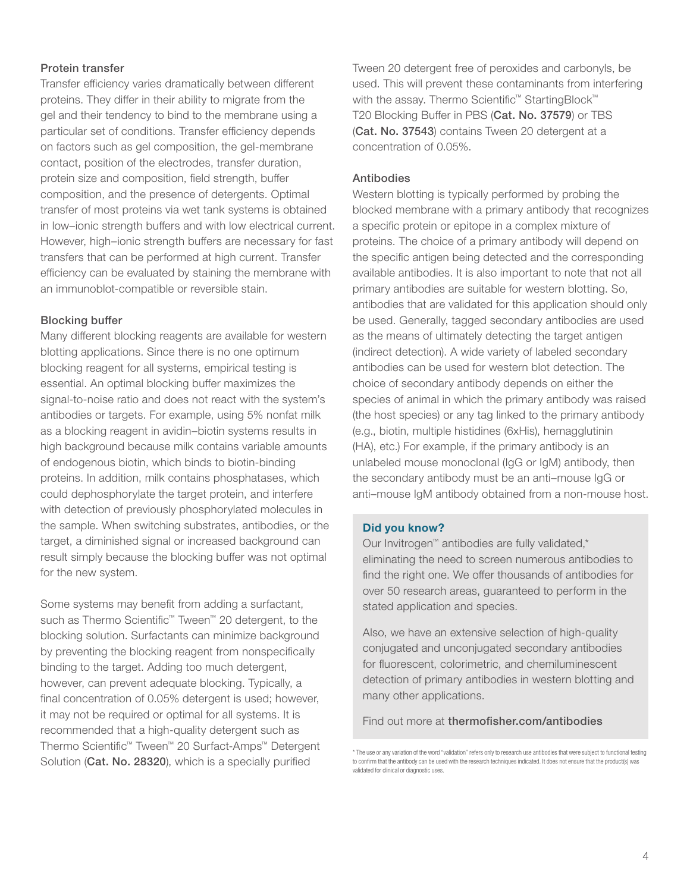#### Protein transfer

Transfer efficiency varies dramatically between different proteins. They differ in their ability to migrate from the gel and their tendency to bind to the membrane using a particular set of conditions. Transfer efficiency depends on factors such as gel composition, the gel-membrane contact, position of the electrodes, transfer duration, protein size and composition, field strength, buffer composition, and the presence of detergents. Optimal transfer of most proteins via wet tank systems is obtained in low–ionic strength buffers and with low electrical current. However, high–ionic strength buffers are necessary for fast transfers that can be performed at high current. Transfer efficiency can be evaluated by staining the membrane with an immunoblot-compatible or reversible stain.

#### Blocking buffer

Many different blocking reagents are available for western blotting applications. Since there is no one optimum blocking reagent for all systems, empirical testing is essential. An optimal blocking buffer maximizes the signal-to-noise ratio and does not react with the system's antibodies or targets. For example, using 5% nonfat milk as a blocking reagent in avidin–biotin systems results in high background because milk contains variable amounts of endogenous biotin, which binds to biotin-binding proteins. In addition, milk contains phosphatases, which could dephosphorylate the target protein, and interfere with detection of previously phosphorylated molecules in the sample. When switching substrates, antibodies, or the target, a diminished signal or increased background can result simply because the blocking buffer was not optimal for the new system.

Some systems may benefit from adding a surfactant, such as Thermo Scientific™ Tween™ 20 detergent, to the blocking solution. Surfactants can minimize background by preventing the blocking reagent from nonspecifically binding to the target. Adding too much detergent, however, can prevent adequate blocking. Typically, a final concentration of 0.05% detergent is used; however, it may not be required or optimal for all systems. It is recommended that a high-quality detergent such as Thermo Scientific™ Tween™ 20 Surfact-Amps™ Detergent Solution ([Cat. No. 28320](https://www.thermofisher.com/order/catalog/product/28320)), which is a specially purified

Tween 20 detergent free of peroxides and carbonyls, be used. This will prevent these contaminants from interfering with the assay. Thermo Scientific<sup>™</sup> StartingBlock<sup>™</sup> T20 Blocking Buffer in PBS ([Cat. No. 37579](https://www.thermofisher.com/order/catalog/product/37579?SID=srch-hj-37579)) or TBS ([Cat. No. 3754](https://www.thermofisher.com/order/catalog/product/37543?SID=srch-hj-37543)3) contains Tween 20 detergent at a concentration of 0.05%.

#### Antibodies

Western blotting is typically performed by probing the blocked membrane with a primary antibody that recognizes a specific protein or epitope in a complex mixture of proteins. The choice of a primary antibody will depend on the specific antigen being detected and the corresponding available antibodies. It is also important to note that not all primary antibodies are suitable for western blotting. So, antibodies that are validated for this application should only be used. Generally, tagged secondary antibodies are used as the means of ultimately detecting the target antigen (indirect detection). A wide variety of labeled secondary antibodies can be used for western blot detection. The choice of secondary antibody depends on either the species of animal in which the primary antibody was raised (the host species) or any tag linked to the primary antibody (e.g., biotin, multiple histidines (6xHis), hemagglutinin (HA), etc.) For example, if the primary antibody is an unlabeled mouse monoclonal (IgG or IgM) antibody, then the secondary antibody must be an anti–mouse IgG or anti–mouse IgM antibody obtained from a non-mouse host.

#### Did you know?

Our Invitrogen™ antibodies are fully validated,\* eliminating the need to screen numerous antibodies to find the right one. We offer thousands of antibodies for over 50 research areas, guaranteed to perform in the stated application and species.

Also, we have an extensive selection of high-quality conjugated and unconjugated secondary antibodies for fluorescent, colorimetric, and chemiluminescent detection of primary antibodies in western blotting and many other applications.

Find out more at thermofisher.com/antibodies

<sup>\*</sup> The use or any variation of the word "validation" refers only to research use antibodies that were subject to functional testing to confirm that the antibody can be used with the research techniques indicated. It does not ensure that the product(s) was validated for clinical or diagnostic uses.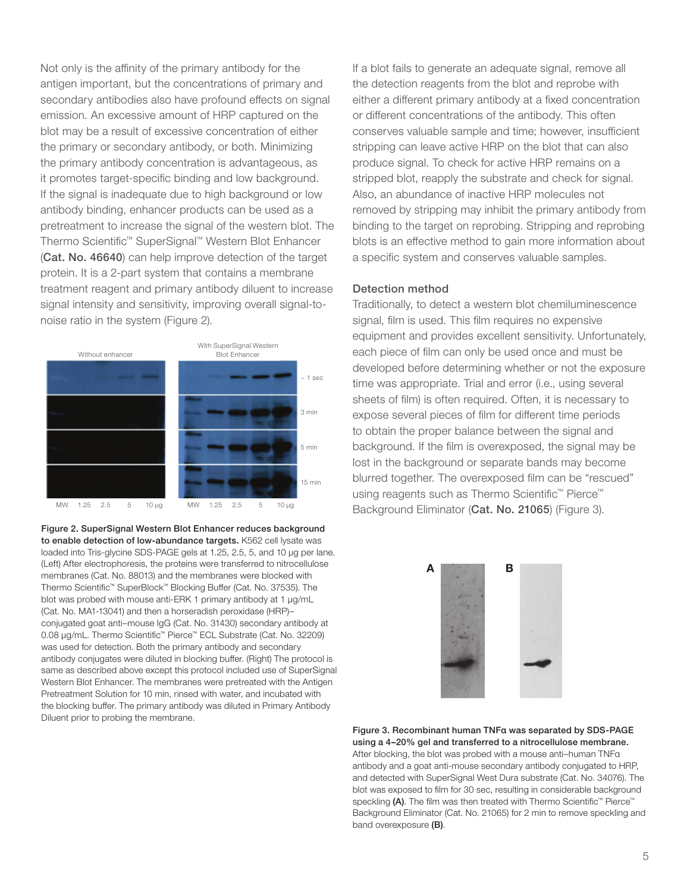Not only is the affinity of the primary antibody for the antigen important, but the concentrations of primary and secondary antibodies also have profound effects on signal emission. An excessive amount of HRP captured on the blot may be a result of excessive concentration of either the primary or secondary antibody, or both. Minimizing the primary antibody concentration is advantageous, as it promotes target-specific binding and low background. If the signal is inadequate due to high background or low antibody binding, enhancer products can be used as a pretreatment to increase the signal of the western blot. The Thermo Scientific™ SuperSignal™ Western Blot Enhancer ([Cat. No. 46640](https://www.thermofisher.com/order/catalog/product/46640?SID=srch-hj-46640)) can help improve detection of the target protein. It is a 2-part system that contains a membrane treatment reagent and primary antibody diluent to increase signal intensity and sensitivity, improving overall signal-tonoise ratio in the system (Figure 2).



Figure 2. SuperSignal Western Blot Enhancer reduces background to enable detection of low-abundance targets. K562 cell lysate was loaded into Tris-glycine SDS-PAGE gels at 1.25, 2.5, 5, and 10 µg per lane. (Left) After electrophoresis, the proteins were transferred to nitrocellulose membranes ([Cat. No. 88013\)](https://www.thermofisher.com/order/catalog/product/88013) and the membranes were blocked with Thermo Scientific™ SuperBlock™ Blocking Buffer [\(Cat. No. 37535](https://www.thermofisher.com/order/catalog/product/37535)). The blot was probed with mouse anti-ERK 1 primary antibody at 1 µg/mL ([Cat. No. MA1-13041](https://www.thermofisher.com/order/catalog/product/MA1-13041)) and then a horseradish peroxidase (HRP)– conjugated goat anti–mouse IgG ([Cat. No. 31430\)](https://www.thermofisher.com/order/catalog/product/31430) secondary antibody at 0.08 µg/mL. Thermo Scientific™ Pierce™ ECL Substrate [\(Cat. No. 32209\)](https://www.thermofisher.com/order/catalog/product/32209) was used for detection. Both the primary antibody and secondary antibody conjugates were diluted in blocking buffer. (Right) The protocol is same as described above except this protocol included use of SuperSignal Western Blot Enhancer. The membranes were pretreated with the Antigen Pretreatment Solution for 10 min, rinsed with water, and incubated with the blocking buffer. The primary antibody was diluted in Primary Antibody Diluent prior to probing the membrane.

If a blot fails to generate an adequate signal, remove all the detection reagents from the blot and reprobe with either a different primary antibody at a fixed concentration or different concentrations of the antibody. This often conserves valuable sample and time; however, insufficient stripping can leave active HRP on the blot that can also produce signal. To check for active HRP remains on a stripped blot, reapply the substrate and check for signal. Also, an abundance of inactive HRP molecules not removed by stripping may inhibit the primary antibody from binding to the target on reprobing. Stripping and reprobing blots is an effective method to gain more information about a specific system and conserves valuable samples.

#### Detection method

Traditionally, to detect a western blot chemiluminescence signal, film is used. This film requires no expensive equipment and provides excellent sensitivity. Unfortunately, each piece of film can only be used once and must be developed before determining whether or not the exposure time was appropriate. Trial and error (i.e., using several sheets of film) is often required. Often, it is necessary to expose several pieces of film for different time periods to obtain the proper balance between the signal and background. If the film is overexposed, the signal may be lost in the background or separate bands may become blurred together. The overexposed film can be "rescued" using reagents such as Thermo Scientific™ Pierce™ Background Eliminator ([Cat. No. 21065](https://www.thermofisher.com/order/catalog/product/21065)) (Figure 3).



Figure 3. Recombinant human TNFα was separated by SDS-PAGE using a 4–20% gel and transferred to a nitrocellulose membrane. After blocking, the blot was probed with a mouse anti–human TNFα antibody and a goat anti-mouse secondary antibody conjugated to HRP, and detected with SuperSignal West Dura substrate [\(Cat. No. 34076](https://www.thermofisher.com/order/catalog/product/34076)). The blot was exposed to film for 30 sec, resulting in considerable background speckling (A). The film was then treated with Thermo Scientific<sup>™</sup> Pierce™ Background Eliminator (Cat. No. 21065) for 2 min to remove speckling and band overexposure (B).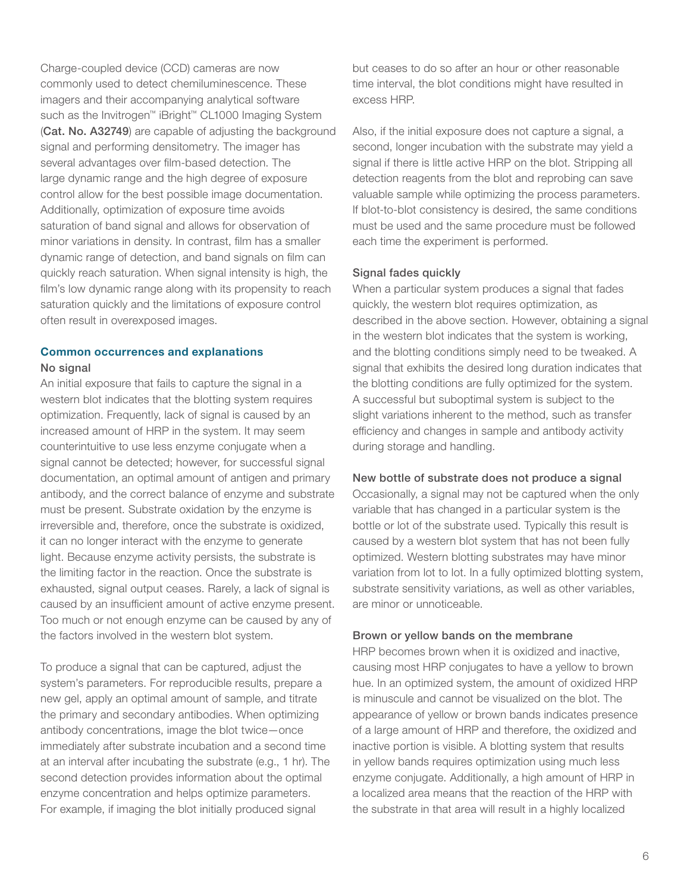Charge-coupled device (CCD) cameras are now commonly used to detect chemiluminescence. These imagers and their accompanying analytical software such as the Invitrogen™ iBright™ CL1000 Imaging System ([Cat. No. A32749](https://www.thermofisher.com/us/en/home/life-science/protein-biology/protein-assays-analysis/western-blotting/detect-proteins-western-blot/western-blot-imaging-analysis/ibright-western-blot-imaging-systems.html?SID=fr-ibright-main)) are capable of adjusting the background signal and performing densitometry. The imager has several advantages over film-based detection. The large dynamic range and the high degree of exposure control allow for the best possible image documentation. Additionally, optimization of exposure time avoids saturation of band signal and allows for observation of minor variations in density. In contrast, film has a smaller dynamic range of detection, and band signals on film can quickly reach saturation. When signal intensity is high, the film's low dynamic range along with its propensity to reach saturation quickly and the limitations of exposure control often result in overexposed images.

### Common occurrences and explanations

#### No signal

An initial exposure that fails to capture the signal in a western blot indicates that the blotting system requires optimization. Frequently, lack of signal is caused by an increased amount of HRP in the system. It may seem counterintuitive to use less enzyme conjugate when a signal cannot be detected; however, for successful signal documentation, an optimal amount of antigen and primary antibody, and the correct balance of enzyme and substrate must be present. Substrate oxidation by the enzyme is irreversible and, therefore, once the substrate is oxidized, it can no longer interact with the enzyme to generate light. Because enzyme activity persists, the substrate is the limiting factor in the reaction. Once the substrate is exhausted, signal output ceases. Rarely, a lack of signal is caused by an insufficient amount of active enzyme present. Too much or not enough enzyme can be caused by any of the factors involved in the western blot system.

To produce a signal that can be captured, adjust the system's parameters. For reproducible results, prepare a new gel, apply an optimal amount of sample, and titrate the primary and secondary antibodies. When optimizing antibody concentrations, image the blot twice—once immediately after substrate incubation and a second time at an interval after incubating the substrate (e.g., 1 hr). The second detection provides information about the optimal enzyme concentration and helps optimize parameters. For example, if imaging the blot initially produced signal

but ceases to do so after an hour or other reasonable time interval, the blot conditions might have resulted in excess HRP.

Also, if the initial exposure does not capture a signal, a second, longer incubation with the substrate may yield a signal if there is little active HRP on the blot. Stripping all detection reagents from the blot and reprobing can save valuable sample while optimizing the process parameters. If blot-to-blot consistency is desired, the same conditions must be used and the same procedure must be followed each time the experiment is performed.

#### Signal fades quickly

When a particular system produces a signal that fades quickly, the western blot requires optimization, as described in the above section. However, obtaining a signal in the western blot indicates that the system is working, and the blotting conditions simply need to be tweaked. A signal that exhibits the desired long duration indicates that the blotting conditions are fully optimized for the system. A successful but suboptimal system is subject to the slight variations inherent to the method, such as transfer efficiency and changes in sample and antibody activity during storage and handling.

#### New bottle of substrate does not produce a signal

Occasionally, a signal may not be captured when the only variable that has changed in a particular system is the bottle or lot of the substrate used. Typically this result is caused by a western blot system that has not been fully optimized. Western blotting substrates may have minor variation from lot to lot. In a fully optimized blotting system, substrate sensitivity variations, as well as other variables, are minor or unnoticeable.

#### Brown or yellow bands on the membrane

HRP becomes brown when it is oxidized and inactive, causing most HRP conjugates to have a yellow to brown hue. In an optimized system, the amount of oxidized HRP is minuscule and cannot be visualized on the blot. The appearance of yellow or brown bands indicates presence of a large amount of HRP and therefore, the oxidized and inactive portion is visible. A blotting system that results in yellow bands requires optimization using much less enzyme conjugate. Additionally, a high amount of HRP in a localized area means that the reaction of the HRP with the substrate in that area will result in a highly localized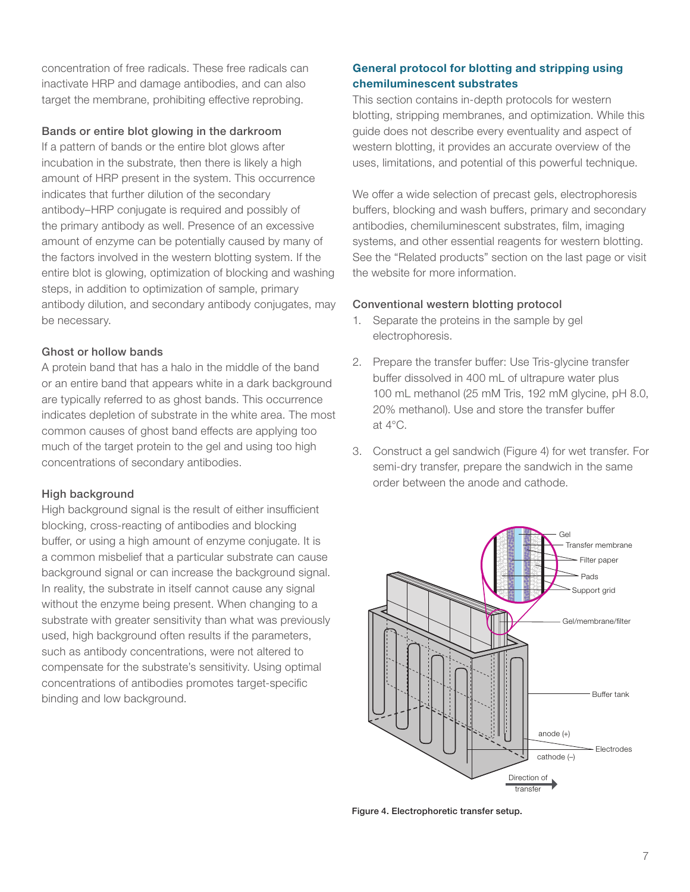concentration of free radicals. These free radicals can inactivate HRP and damage antibodies, and can also target the membrane, prohibiting effective reprobing.

#### Bands or entire blot glowing in the darkroom

If a pattern of bands or the entire blot glows after incubation in the substrate, then there is likely a high amount of HRP present in the system. This occurrence indicates that further dilution of the secondary antibody–HRP conjugate is required and possibly of the primary antibody as well. Presence of an excessive amount of enzyme can be potentially caused by many of the factors involved in the western blotting system. If the entire blot is glowing, optimization of blocking and washing steps, in addition to optimization of sample, primary antibody dilution, and secondary antibody conjugates, may be necessary.

#### Ghost or hollow bands

A protein band that has a halo in the middle of the band or an entire band that appears white in a dark background are typically referred to as ghost bands. This occurrence indicates depletion of substrate in the white area. The most common causes of ghost band effects are applying too much of the target protein to the gel and using too high concentrations of secondary antibodies.

#### High background

High background signal is the result of either insufficient blocking, cross-reacting of antibodies and blocking buffer, or using a high amount of enzyme conjugate. It is a common misbelief that a particular substrate can cause background signal or can increase the background signal. In reality, the substrate in itself cannot cause any signal without the enzyme being present. When changing to a substrate with greater sensitivity than what was previously used, high background often results if the parameters, such as antibody concentrations, were not altered to compensate for the substrate's sensitivity. Using optimal concentrations of antibodies promotes target-specific binding and low background.

#### General protocol for blotting and stripping using chemiluminescent substrates

This section contains in-depth protocols for western blotting, stripping membranes, and optimization. While this guide does not describe every eventuality and aspect of western blotting, it provides an accurate overview of the uses, limitations, and potential of this powerful technique.

We offer a wide selection of precast gels, electrophoresis buffers, blocking and wash buffers, primary and secondary antibodies, chemiluminescent substrates, film, imaging systems, and other essential reagents for western blotting. See the "Related products" section on the last page or visit the website for more information.

#### Conventional western blotting protocol

- 1. Separate the proteins in the sample by gel electrophoresis.
- 2. Prepare the transfer buffer: Use Tris-glycine transfer buffer dissolved in 400 mL of ultrapure water plus 100 mL methanol (25 mM Tris, 192 mM glycine, pH 8.0, 20% methanol). Use and store the transfer buffer at 4°C.
- 3. Construct a gel sandwich (Figure 4) for wet transfer. For semi-dry transfer, prepare the sandwich in the same order between the anode and cathode.



Figure 4. Electrophoretic transfer setup.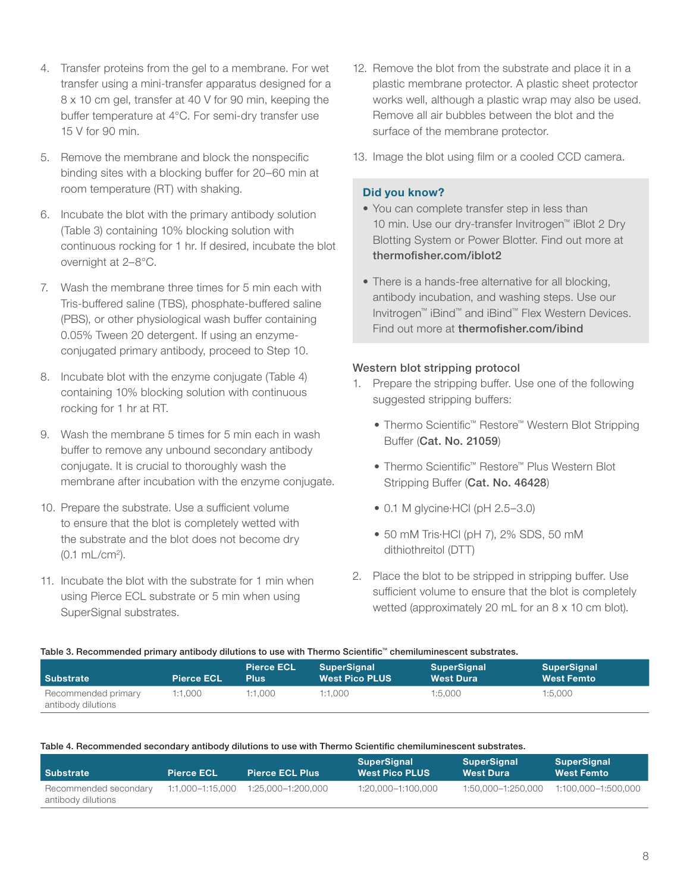- 4. Transfer proteins from the gel to a membrane. For wet transfer using a mini-transfer apparatus designed for a 8 x 10 cm gel, transfer at 40 V for 90 min, keeping the buffer temperature at 4°C. For semi-dry transfer use 15 V for 90 min.
- 5. Remove the membrane and block the nonspecific binding sites with a blocking buffer for 20–60 min at room temperature (RT) with shaking.
- 6. Incubate the blot with the primary antibody solution (Table 3) containing 10% blocking solution with continuous rocking for 1 hr. If desired, incubate the blot overnight at 2–8°C.
- 7. Wash the membrane three times for 5 min each with Tris-buffered saline (TBS), phosphate-buffered saline (PBS), or other physiological wash buffer containing 0.05% Tween 20 detergent. If using an enzymeconjugated primary antibody, proceed to Step 10.
- 8. Incubate blot with the enzyme conjugate (Table 4) containing 10% blocking solution with continuous rocking for 1 hr at RT.
- 9. Wash the membrane 5 times for 5 min each in wash buffer to remove any unbound secondary antibody conjugate. It is crucial to thoroughly wash the membrane after incubation with the enzyme conjugate.
- 10. Prepare the substrate. Use a sufficient volume to ensure that the blot is completely wetted with the substrate and the blot does not become dry (0.1 mL/cm2 ).
- 11. Incubate the blot with the substrate for 1 min when using Pierce ECL substrate or 5 min when using SuperSignal substrates.
- 12. Remove the blot from the substrate and place it in a plastic membrane protector. A plastic sheet protector works well, although a plastic wrap may also be used. Remove all air bubbles between the blot and the surface of the membrane protector.
- 13. Image the blot using film or a cooled CCD camera.

#### Did you know?

- You can complete transfer step in less than 10 min. Use our dry-transfer Invitrogen™ iBlot 2 Dry Blotting System or Power Blotter. Find out more at [thermofisher.com/iblot2](http://www.thermofisher.com/us/en/home/life-science/protein-biology/protein-assays-analysis/western-blotting/transfer-proteins-western-blot/iblot-dry-blotting-system.html)
- There is a hands-free alternative for all blocking, antibody incubation, and washing steps. Use our Invitrogen™ iBind™ and iBind™ Flex Western Devices. Find out more at [thermofisher.com/ibind](http://www.thermofisher.com/us/en/home/life-science/protein-biology/protein-assays-analysis/western-blotting/detect-proteins-western-blot/ibind-western-system.html)

#### Western blot stripping protocol

- 1. Prepare the stripping buffer. Use one of the following suggested stripping buffers:
	- Thermo Scientific™ Restore™ Western Blot Stripping Buffer ([Cat. No. 21059](https://www.thermofisher.com/order/catalog/product/21059?SID=srch-hj-21059))
	- Thermo Scientific™ Restore™ Plus Western Blot Stripping Buffer ([Cat. No. 46428](https://www.thermofisher.com/order/catalog/product/46428?SID=srch-hj-46428))
	- 0.1 M glycine∙HCl (pH 2.5–3.0)
	- 50 mM Tris∙HCl (pH 7), 2% SDS, 50 mM dithiothreitol (DTT)
- 2. Place the blot to be stripped in stripping buffer. Use sufficient volume to ensure that the blot is completely wetted (approximately 20 mL for an 8 x 10 cm blot).

| Table 5: Hecommended primary antibody dilutions to use with Thermo Scienting. Chemitaminescent substrates. |                   |                           |                                      |                                        |                                         |  |
|------------------------------------------------------------------------------------------------------------|-------------------|---------------------------|--------------------------------------|----------------------------------------|-----------------------------------------|--|
| <b>Substrate</b>                                                                                           | <b>Pierce ECL</b> | <b>Pierce ECL</b><br>Plus | SuperSignal<br><b>West Pico PLUS</b> | <b>SuperSignal</b><br><b>West Dura</b> | <b>SuperSignal</b><br><b>West Femto</b> |  |
| Recommended primary<br>antibody dilutions                                                                  | 1:1.000           | 1:1.000                   | 1:1.000                              | 1:5.000                                | 1:5.000                                 |  |

#### Table 3. Recommended primary antibody dilutions to use with Thermo Scientific™ chemiluminescent substrates.

#### Table 4. Recommended secondary antibody dilutions to use with Thermo Scientific chemiluminescent substrates.

| <b>Substrate</b>                            | <b>Pierce ECL</b> | <b>Pierce ECL Plus</b>                      | SuperSignal<br><b>West Pico PLUS</b> | SuperSignal<br><b>West Dura</b> | <b>SuperSignal</b><br><b>West Femto</b> |
|---------------------------------------------|-------------------|---------------------------------------------|--------------------------------------|---------------------------------|-----------------------------------------|
| Recommended secondary<br>antibody dilutions |                   | $1:1.000 - 1:15.000$ $1:25.000 - 1:200.000$ | 1:20.000-1:100.000                   | 1:50.000-1:250.000              | 1:100.000–1:500.000                     |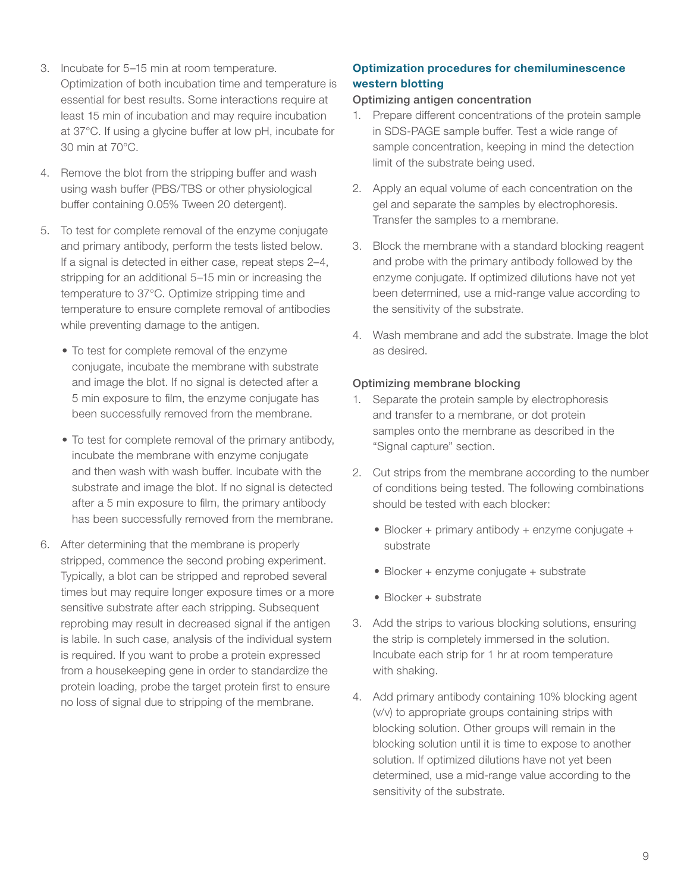- 3. Incubate for 5–15 min at room temperature. Optimization of both incubation time and temperature is essential for best results. Some interactions require at least 15 min of incubation and may require incubation at 37°C. If using a glycine buffer at low pH, incubate for 30 min at 70°C.
- 4. Remove the blot from the stripping buffer and wash using wash buffer (PBS/TBS or other physiological buffer containing 0.05% Tween 20 detergent).
- 5. To test for complete removal of the enzyme conjugate and primary antibody, perform the tests listed below. If a signal is detected in either case, repeat steps 2–4, stripping for an additional 5–15 min or increasing the temperature to 37°C. Optimize stripping time and temperature to ensure complete removal of antibodies while preventing damage to the antigen.
	- To test for complete removal of the enzyme conjugate, incubate the membrane with substrate and image the blot. If no signal is detected after a 5 min exposure to film, the enzyme conjugate has been successfully removed from the membrane.
	- To test for complete removal of the primary antibody, incubate the membrane with enzyme conjugate and then wash with wash buffer. Incubate with the substrate and image the blot. If no signal is detected after a 5 min exposure to film, the primary antibody has been successfully removed from the membrane.
- 6. After determining that the membrane is properly stripped, commence the second probing experiment. Typically, a blot can be stripped and reprobed several times but may require longer exposure times or a more sensitive substrate after each stripping. Subsequent reprobing may result in decreased signal if the antigen is labile. In such case, analysis of the individual system is required. If you want to probe a protein expressed from a housekeeping gene in order to standardize the protein loading, probe the target protein first to ensure no loss of signal due to stripping of the membrane.

#### Optimization procedures for chemiluminescence western blotting

#### Optimizing antigen concentration

- 1. Prepare different concentrations of the protein sample in SDS-PAGE sample buffer. Test a wide range of sample concentration, keeping in mind the detection limit of the substrate being used.
- 2. Apply an equal volume of each concentration on the gel and separate the samples by electrophoresis. Transfer the samples to a membrane.
- 3. Block the membrane with a standard blocking reagent and probe with the primary antibody followed by the enzyme conjugate. If optimized dilutions have not yet been determined, use a mid-range value according to the sensitivity of the substrate.
- 4. Wash membrane and add the substrate. Image the blot as desired.

#### Optimizing membrane blocking

- 1. Separate the protein sample by electrophoresis and transfer to a membrane, or dot protein samples onto the membrane as described in the "Signal capture" section.
- 2. Cut strips from the membrane according to the number of conditions being tested. The following combinations should be tested with each blocker:
	- Blocker + primary antibody + enzyme conjugate + substrate
	- Blocker + enzyme conjugate + substrate
	- Blocker + substrate
- 3. Add the strips to various blocking solutions, ensuring the strip is completely immersed in the solution. Incubate each strip for 1 hr at room temperature with shaking.
- 4. Add primary antibody containing 10% blocking agent (v/v) to appropriate groups containing strips with blocking solution. Other groups will remain in the blocking solution until it is time to expose to another solution. If optimized dilutions have not yet been determined, use a mid-range value according to the sensitivity of the substrate.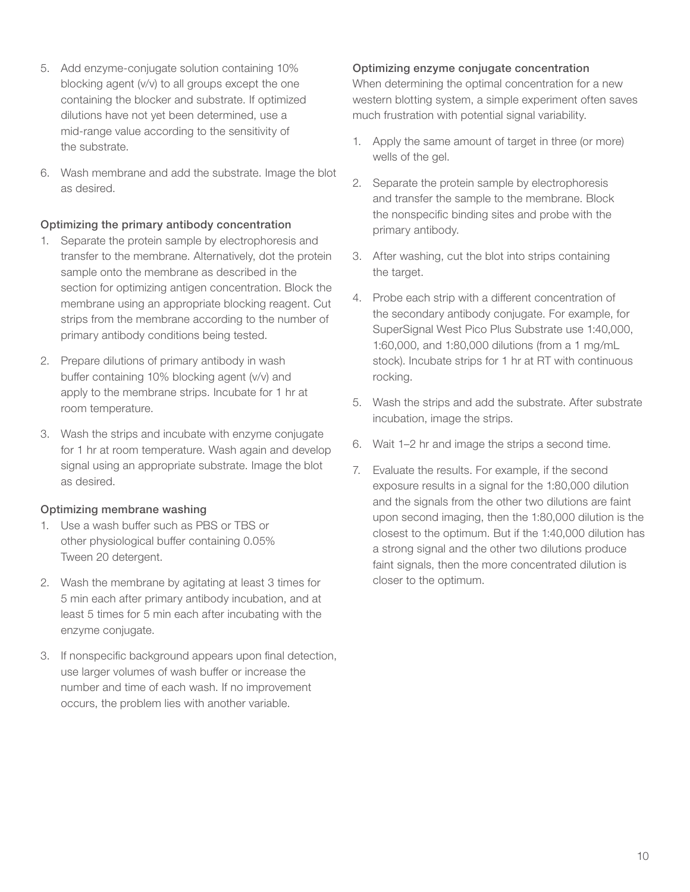- 5. Add enzyme-conjugate solution containing 10% blocking agent (v/v) to all groups except the one containing the blocker and substrate. If optimized dilutions have not yet been determined, use a mid-range value according to the sensitivity of the substrate.
- 6. Wash membrane and add the substrate. Image the blot as desired.

#### Optimizing the primary antibody concentration

- 1. Separate the protein sample by electrophoresis and transfer to the membrane. Alternatively, dot the protein sample onto the membrane as described in the section for optimizing antigen concentration. Block the membrane using an appropriate blocking reagent. Cut strips from the membrane according to the number of primary antibody conditions being tested.
- 2. Prepare dilutions of primary antibody in wash buffer containing 10% blocking agent (v/v) and apply to the membrane strips. Incubate for 1 hr at room temperature.
- 3. Wash the strips and incubate with enzyme conjugate for 1 hr at room temperature. Wash again and develop signal using an appropriate substrate. Image the blot as desired.

#### Optimizing membrane washing

- 1. Use a wash buffer such as PBS or TBS or other physiological buffer containing 0.05% Tween 20 detergent.
- 2. Wash the membrane by agitating at least 3 times for 5 min each after primary antibody incubation, and at least 5 times for 5 min each after incubating with the enzyme conjugate.
- 3. If nonspecific background appears upon final detection, use larger volumes of wash buffer or increase the number and time of each wash. If no improvement occurs, the problem lies with another variable.

#### Optimizing enzyme conjugate concentration

When determining the optimal concentration for a new western blotting system, a simple experiment often saves much frustration with potential signal variability.

- 1. Apply the same amount of target in three (or more) wells of the gel.
- 2. Separate the protein sample by electrophoresis and transfer the sample to the membrane. Block the nonspecific binding sites and probe with the primary antibody.
- 3. After washing, cut the blot into strips containing the target.
- 4. Probe each strip with a different concentration of the secondary antibody conjugate. For example, for SuperSignal West Pico Plus Substrate use 1:40,000, 1:60,000, and 1:80,000 dilutions (from a 1 mg/mL stock). Incubate strips for 1 hr at RT with continuous rocking.
- 5. Wash the strips and add the substrate. After substrate incubation, image the strips.
- 6. Wait 1–2 hr and image the strips a second time.
- 7. Evaluate the results. For example, if the second exposure results in a signal for the 1:80,000 dilution and the signals from the other two dilutions are faint upon second imaging, then the 1:80,000 dilution is the closest to the optimum. But if the 1:40,000 dilution has a strong signal and the other two dilutions produce faint signals, then the more concentrated dilution is closer to the optimum.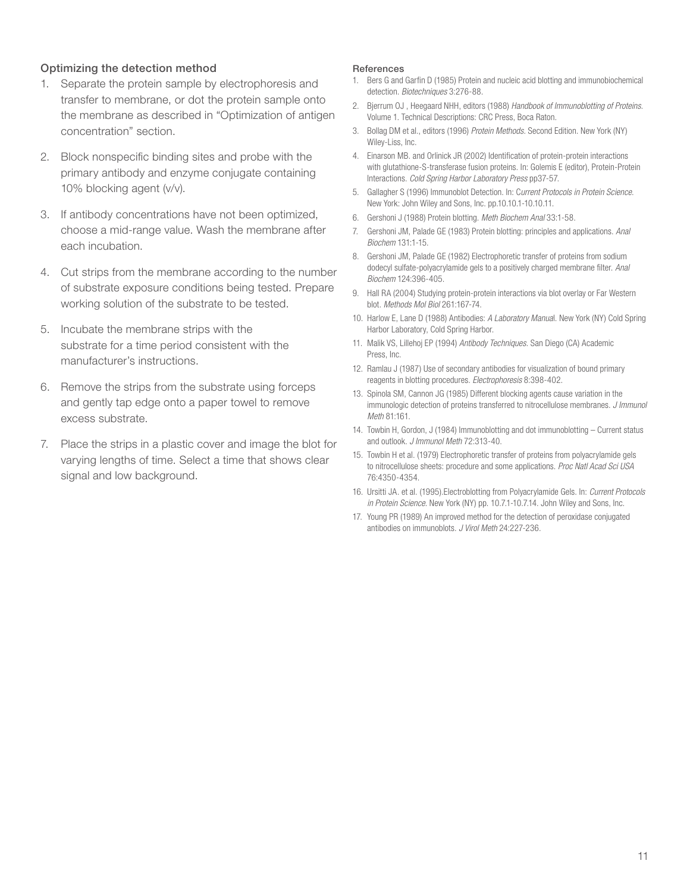#### Optimizing the detection method

- 1. Separate the protein sample by electrophoresis and transfer to membrane, or dot the protein sample onto the membrane as described in "Optimization of antigen concentration" section.
- 2. Block nonspecific binding sites and probe with the primary antibody and enzyme conjugate containing 10% blocking agent (v/v).
- 3. If antibody concentrations have not been optimized, choose a mid-range value. Wash the membrane after each incubation.
- 4. Cut strips from the membrane according to the number of substrate exposure conditions being tested. Prepare working solution of the substrate to be tested.
- 5. Incubate the membrane strips with the substrate for a time period consistent with the manufacturer's instructions.
- 6. Remove the strips from the substrate using forceps and gently tap edge onto a paper towel to remove excess substrate.
- 7. Place the strips in a plastic cover and image the blot for varying lengths of time. Select a time that shows clear signal and low background.

#### References

- 1. Bers G and Garfin D (1985) Protein and nucleic acid blotting and immunobiochemical detection. *Biotechniques* 3:276-88.
- 2. Bjerrum OJ , Heegaard NHH, editors (1988) *Handbook of Immunoblotting of Proteins*. Volume 1. Technical Descriptions: CRC Press, Boca Raton.
- 3. Bollag DM et al., editors (1996) *Protein Methods.* Second Edition. New York (NY) Wiley-Liss, Inc.
- 4. Einarson MB. and Orlinick JR (2002) Identification of protein-protein interactions with glutathione-S-transferase fusion proteins. In: Golemis E (editor), Protein-Protein Interactions. *Cold Spring Harbor Laboratory Press* pp37-57.
- 5. Gallagher S (1996) Immunoblot Detection. In: C*urrent Protocols in Protein Science*. New York: John Wiley and Sons, Inc. pp.10.10.1-10.10.11.
- 6. Gershoni J (1988) Protein blotting. *Meth Biochem Anal* 33:1-58.
- 7. Gershoni JM, Palade GE (1983) Protein blotting: principles and applications. *Anal Biochem* 131:1-15.
- 8. Gershoni JM, Palade GE (1982) Electrophoretic transfer of proteins from sodium dodecyl sulfate-polyacrylamide gels to a positively charged membrane filter. *Anal Biochem* 124:396-405.
- 9. Hall RA (2004) Studying protein-protein interactions via blot overlay or Far Western blot. *Methods Mol Biol* 261:167-74.
- 10. Harlow E, Lane D (1988) Antibodies: *A Laboratory Manua*l. New York (NY) Cold Spring Harbor Laboratory, Cold Spring Harbor.
- 11. Malik VS, Lillehoj EP (1994) *Antibody Techniques*. San Diego (CA) Academic Press, Inc.
- 12. Ramlau J (1987) Use of secondary antibodies for visualization of bound primary reagents in blotting procedures. *Electrophoresis* 8:398-402.
- 13. Spinola SM, Cannon JG (1985) Different blocking agents cause variation in the immunologic detection of proteins transferred to nitrocellulose membranes. *J Immunol Meth* 81:161.
- 14. Towbin H, Gordon, J (1984) Immunoblotting and dot immunoblotting Current status and outlook. *J Immunol Meth* 72:313-40.
- 15. Towbin H et al. (1979) Electrophoretic transfer of proteins from polyacrylamide gels to nitrocellulose sheets: procedure and some applications. *Proc Natl Acad Sci USA*  76:4350-4354.
- 16. Ursitti JA. et al. (1995).Electroblotting from Polyacrylamide Gels. In: *Current Protocols in Protein Science.* New York (NY) pp. 10.7.1-10.7.14. John Wiley and Sons, Inc.
- 17. Young PR (1989) An improved method for the detection of peroxidase conjugated antibodies on immunoblots. *J Virol Meth* 24:227-236.